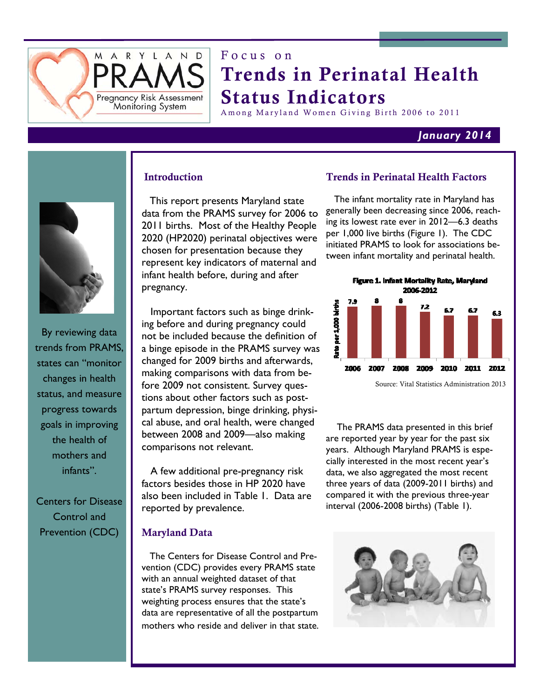

# Focus on Trends in Perinatal Health Status Indicators

Among Maryland Women Giving Birth 2006 to 2011

### *January 2014*

**Introduction** 

 This report presents Maryland state data from the PRAMS survey for 2006 to 2011 births. Most of the Healthy People 2020 (HP2020) perinatal objectives were chosen for presentation because they represent key indicators of maternal and infant health before, during and after pregnancy.

 Important factors such as binge drinking before and during pregnancy could not be included because the definition of a binge episode in the PRAMS survey was changed for 2009 births and afterwards, making comparisons with data from before 2009 not consistent. Survey questions about other factors such as postpartum depression, binge drinking, physical abuse, and oral health, were changed between 2008 and 2009—also making comparisons not relevant.

 A few additional pre-pregnancy risk factors besides those in HP 2020 have also been included in Table 1. Data are reported by prevalence.

# Maryland Data

 The Centers for Disease Control and Prevention (CDC) provides every PRAMS state with an annual weighted dataset of that state's PRAMS survey responses. This weighting process ensures that the state's data are representative of all the postpartum mothers who reside and deliver in that state.

# Trends in Perinatal Health Factors

 The infant mortality rate in Maryland has generally been decreasing since 2006, reaching its lowest rate ever in 2012—6.3 deaths per 1,000 live births (Figure 1). The CDC initiated PRAMS to look for associations between infant mortality and perinatal health.



Source: Vital Statistics Administration 2013

 The PRAMS data presented in this brief are reported year by year for the past six years. Although Maryland PRAMS is especially interested in the most recent year's data, we also aggregated the most recent three years of data (2009-2011 births) and compared it with the previous three-year interval (2006-2008 births) (Table 1).





By reviewing data trends from PRAMS, states can "monitor changes in health status, and measure progress towards goals in improving the health of mothers and infants".

Centers for Disease Control and Prevention (CDC)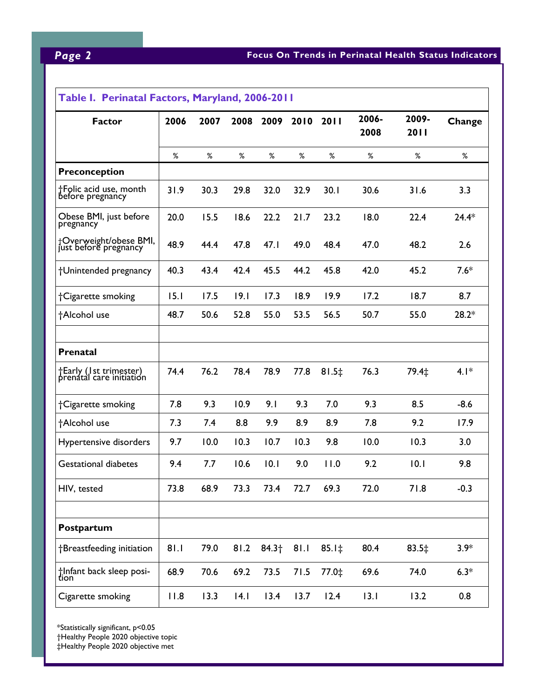# **Page 2 Focus On Trends in Perinatal Health Status Indicators Page 2**

|  |  |  |  | Table I. Perinatal Factors, Maryland, 2006-2011 |
|--|--|--|--|-------------------------------------------------|
|--|--|--|--|-------------------------------------------------|

| <b>Factor</b>                                      | 2006 | 2007 | 2008 | 2009              | 2010 | 2011      | 2006-<br>2008 | 2009-<br><b>2011</b> | Change  |
|----------------------------------------------------|------|------|------|-------------------|------|-----------|---------------|----------------------|---------|
|                                                    | %    | $\%$ | $\%$ | %                 | $\%$ | %         | %             | %                    | $\%$    |
| <b>Preconception</b>                               |      |      |      |                   |      |           |               |                      |         |
| †Folic acid use, month<br>before pregnancy         | 31.9 | 30.3 | 29.8 | 32.0              | 32.9 | 30.1      | 30.6          | 31.6                 | 3.3     |
| Obese BMI, just before<br>pregnancy                | 20.0 | 15.5 | 18.6 | 22.2              | 21.7 | 23.2      | 18.0          | 22.4                 | $24.4*$ |
| †Overweight/obese BMI,<br>just before pregnancy    | 48.9 | 44.4 | 47.8 | 47.1              | 49.0 | 48.4      | 47.0          | 48.2                 | 2.6     |
| †Unintended pregnancy                              | 40.3 | 43.4 | 42.4 | 45.5              | 44.2 | 45.8      | 42.0          | 45.2                 | $7.6*$  |
| †Cigarette smoking                                 | 15.1 | 17.5 | 9.1  | 17.3              | 18.9 | 19.9      | 17.2          | 18.7                 | 8.7     |
| †Alcohol use                                       | 48.7 | 50.6 | 52.8 | 55.0              | 53.5 | 56.5      | 50.7          | 55.0                 | $28.2*$ |
| <b>Prenatal</b>                                    |      |      |      |                   |      |           |               |                      |         |
| †Early (1st trimester)<br>prenatal care initiation | 74.4 | 76.2 | 78.4 | 78.9              | 77.8 | $81.5+$   | 76.3          | 79.4‡                | $4.1*$  |
| †Cigarette smoking                                 | 7.8  | 9.3  | 10.9 | 9.1               | 9.3  | 7.0       | 9.3           | 8.5                  | $-8.6$  |
| †Alcohol use                                       | 7.3  | 7.4  | 8.8  | 9.9               | 8.9  | 8.9       | 7.8           | 9.2                  | 17.9    |
| Hypertensive disorders                             | 9.7  | 10.0 | 10.3 | 10.7              | 10.3 | 9.8       | 10.0          | 10.3                 | 3.0     |
| <b>Gestational diabetes</b>                        | 9.4  | 7.7  | 10.6 | 10.1              | 9.0  | 11.0      | 9.2           | 10.1                 | 9.8     |
| HIV, tested                                        | 73.8 | 68.9 | 73.3 | 73.4              | 72.7 | 69.3      | 72.0          | 71.8                 | $-0.3$  |
| Postpartum                                         |      |      |      |                   |      |           |               |                      |         |
| †Breastfeeding initiation                          | 81.1 | 79.0 | 81.2 | 84.3 <sub>†</sub> | 81.1 | $85.1\pm$ | 80.4          | 83.5‡                | $3.9*$  |
| tlnfant back sleep posi-<br>tion                   | 68.9 | 70.6 | 69.2 | 73.5              | 71.5 | 77.0‡     | 69.6          | 74.0                 | $6.3*$  |
| Cigarette smoking                                  | 11.8 | 13.3 | 4.1  | 13.4              | 13.7 | 12.4      | 13.1          | 13.2                 | 0.8     |

\*Statistically significant, p<0.05 †Healthy People 2020 objective topic ‡Healthy People 2020 objective met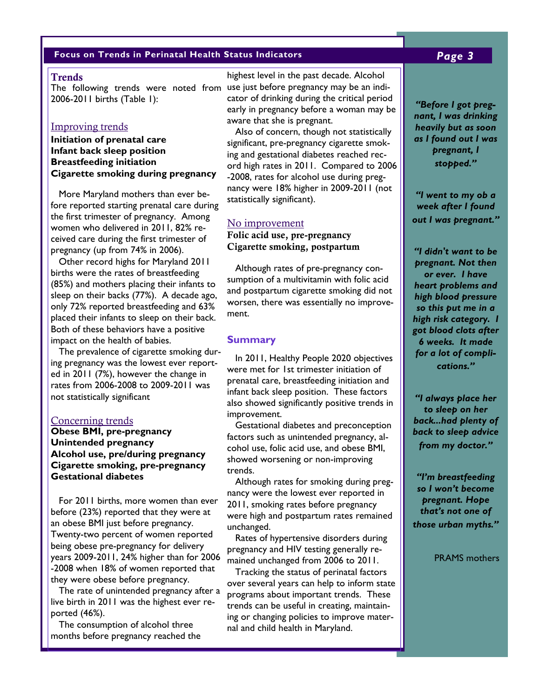# **Focus on Trends in Perinatal Health Status Indicators** *Page 3*

#### **Trends**

2006-2011 births (Table 1):

#### Improving trends

### **Initiation of prenatal care Infant back sleep position Breastfeeding initiation Cigarette smoking during pregnancy**

 More Maryland mothers than ever before reported starting prenatal care during the first trimester of pregnancy. Among women who delivered in 2011, 82% received care during the first trimester of pregnancy (up from 74% in 2006).

 Other record highs for Maryland 2011 births were the rates of breastfeeding (85%) and mothers placing their infants to sleep on their backs (77%). A decade ago, only 72% reported breastfeeding and 63% placed their infants to sleep on their back. Both of these behaviors have a positive impact on the health of babies.

 The prevalence of cigarette smoking during pregnancy was the lowest ever reported in 2011 (7%), however the change in rates from 2006-2008 to 2009-2011 was not statistically significant

#### Concerning trends

### **Obese BMI, pre-pregnancy Unintended pregnancy Alcohol use, pre/during pregnancy Cigarette smoking, pre-pregnancy Gestational diabetes**

 For 2011 births, more women than ever before (23%) reported that they were at an obese BMI just before pregnancy. Twenty-two percent of women reported being obese pre-pregnancy for delivery years 2009-2011, 24% higher than for 2006 -2008 when 18% of women reported that they were obese before pregnancy.

The rate of unintended pregnancy after a live birth in 2011 was the highest ever reported (46%).

 The consumption of alcohol three months before pregnancy reached the

The following trends were noted from use just before pregnancy may be an indihighest level in the past decade. Alcohol cator of drinking during the critical period early in pregnancy before a woman may be aware that she is pregnant.

> Also of concern, though not statistically significant, pre-pregnancy cigarette smoking and gestational diabetes reached record high rates in 2011. Compared to 2006 -2008, rates for alcohol use during pregnancy were 18% higher in 2009-2011 (not statistically significant).

#### No improvement

#### Folic acid use, pre-pregnancy Cigarette smoking, postpartum

 Although rates of pre-pregnancy consumption of a multivitamin with folic acid and postpartum cigarette smoking did not worsen, there was essentially no improvement.

#### **Summary**

 In 2011, Healthy People 2020 objectives were met for 1st trimester initiation of prenatal care, breastfeeding initiation and infant back sleep position. These factors also showed significantly positive trends in improvement.

 Gestational diabetes and preconception factors such as unintended pregnancy, alcohol use, folic acid use, and obese BMI, showed worsening or non-improving trends.

 Although rates for smoking during pregnancy were the lowest ever reported in 2011, smoking rates before pregnancy were high and postpartum rates remained unchanged.

 Rates of hypertensive disorders during pregnancy and HIV testing generally remained unchanged from 2006 to 2011.

 Tracking the status of perinatal factors over several years can help to inform state programs about important trends. These trends can be useful in creating, maintaining or changing policies to improve maternal and child health in Maryland.

*"Before I got pregnant, I was drinking heavily but as soon as I found out I was pregnant, I stopped."* 

*"I went to my ob a week after I found out I was pregnant."* 

*"I didn't want to be pregnant. Not then or ever. I have heart problems and high blood pressure so this put me in a high risk category. I got blood clots after 6 weeks. It made for a lot of complications."* 

*"I always place her to sleep on her back...had plenty of back to sleep advice from my doctor."* 

*"I'm breastfeeding so I won't become pregnant. Hope that's not one of those urban myths."* 

PRAMS mothers